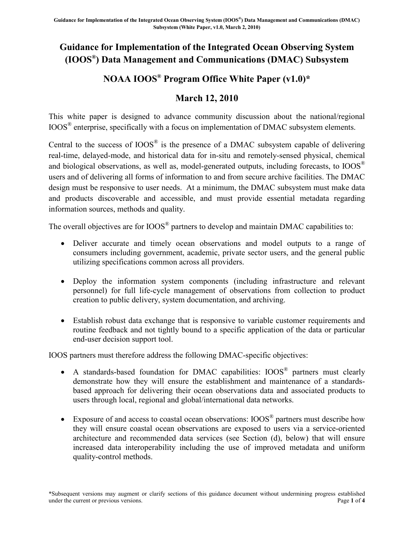## **Guidance for Implementation of the Integrated Ocean Observing System (IOOS®) Data Management and Communications (DMAC) Subsystem**

## **NOAA IOOS® Program Office White Paper (v1.0)\***

## **March 12, 2010**

This white paper is designed to advance community discussion about the national/regional IOOS® enterprise, specifically with a focus on implementation of DMAC subsystem elements.

Central to the success of  $IOOS^{\otimes}$  is the presence of a DMAC subsystem capable of delivering real-time, delayed-mode, and historical data for in-situ and remotely-sensed physical, chemical and biological observations, as well as, model-generated outputs, including forecasts, to IOOS<sup>®</sup> users and of delivering all forms of information to and from secure archive facilities. The DMAC design must be responsive to user needs. At a minimum, the DMAC subsystem must make data and products discoverable and accessible, and must provide essential metadata regarding information sources, methods and quality.

The overall objectives are for IOOS<sup>®</sup> partners to develop and maintain DMAC capabilities to:

- Deliver accurate and timely ocean observations and model outputs to a range of consumers including government, academic, private sector users, and the general public utilizing specifications common across all providers.
- Deploy the information system components (including infrastructure and relevant personnel) for full life-cycle management of observations from collection to product creation to public delivery, system documentation, and archiving.
- Establish robust data exchange that is responsive to variable customer requirements and routine feedback and not tightly bound to a specific application of the data or particular end-user decision support tool.

IOOS partners must therefore address the following DMAC-specific objectives:

- A standards-based foundation for DMAC capabilities: IOOS® partners must clearly demonstrate how they will ensure the establishment and maintenance of a standardsbased approach for delivering their ocean observations data and associated products to users through local, regional and global/international data networks.
- Exposure of and access to coastal ocean observations:  $IOOS^{\circledR}$  partners must describe how they will ensure coastal ocean observations are exposed to users via a service-oriented architecture and recommended data services (see Section (d), below) that will ensure increased data interoperability including the use of improved metadata and uniform quality-control methods.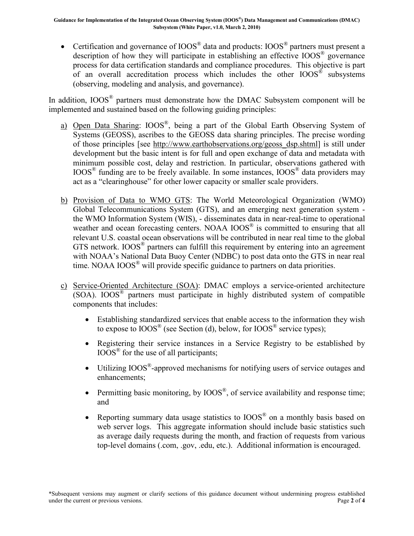• Certification and governance of  $IOOS^{\otimes}$  data and products:  $IOOS^{\otimes}$  partners must present a description of how they will participate in establishing an effective IOOS® governance process for data certification standards and compliance procedures. This objective is part of an overall accreditation process which includes the other IOOS® subsystems (observing, modeling and analysis, and governance).

In addition, IOOS<sup>®</sup> partners must demonstrate how the DMAC Subsystem component will be implemented and sustained based on the following guiding principles:

- a) Open Data Sharing: IOOS®, being a part of the Global Earth Observing System of Systems (GEOSS), ascribes to the GEOSS data sharing principles. The precise wording of those principles [see [http://www.earthobservations.org/geoss\\_dsp.shtml\]](http://www.earthobservations.org/geoss_dsp.shtml) is still under development but the basic intent is for full and open exchange of data and metadata with minimum possible cost, delay and restriction. In particular, observations gathered with IOOS® funding are to be freely available. In some instances, IOOS® data providers may act as a "clearinghouse" for other lower capacity or smaller scale providers.
- b) Provision of Data to WMO GTS: The World Meteorological Organization (WMO) Global Telecommunications System (GTS), and an emerging next generation system the WMO Information System (WIS), - disseminates data in near-real-time to operational weather and ocean forecasting centers. NOAA IOOS<sup>®</sup> is committed to ensuring that all relevant U.S. coastal ocean observations will be contributed in near real time to the global GTS network. IOOS® partners can fulfill this requirement by entering into an agreement with NOAA's National Data Buoy Center (NDBC) to post data onto the GTS in near real time. NOAA  $100S^{\circledast}$  will provide specific guidance to partners on data priorities.
- c) Service-Oriented Architecture (SOA): DMAC employs a service-oriented architecture (SOA). IOOS® partners must participate in highly distributed system of compatible components that includes:
	- Establishing standardized services that enable access to the information they wish to expose to  $\text{IOOS}^{\circledast}$  (see Section (d), below, for  $\text{IOOS}^{\circledast}$  service types);
	- Registering their service instances in a Service Registry to be established by  $IOOS^{\otimes}$  for the use of all participants;
	- Utilizing  $IOOS^{\circledast}$ -approved mechanisms for notifying users of service outages and enhancements;
	- **•** Permitting basic monitoring, by  $IOOS^{\circledast}$ , of service availability and response time; and
	- Reporting summary data usage statistics to  $IOOS^{\otimes}$  on a monthly basis based on web server logs. This aggregate information should include basic statistics such as average daily requests during the month, and fraction of requests from various top-level domains (.com, .gov, .edu, etc.). Additional information is encouraged.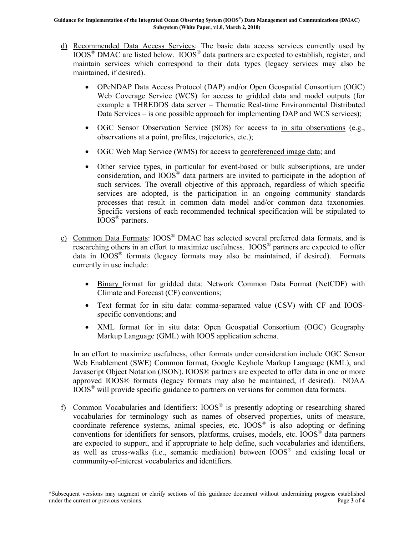- d) Recommended Data Access Services: The basic data access services currently used by IOOS® DMAC are listed below. IOOS® data partners are expected to establish, register, and maintain services which correspond to their data types (legacy services may also be maintained, if desired).
	- OPeNDAP Data Access Protocol (DAP) and/or Open Geospatial Consortium (OGC) Web Coverage Service (WCS) for access to gridded data and model outputs (for example a THREDDS data server – Thematic Real-time Environmental Distributed Data Services – is one possible approach for implementing DAP and WCS services);
	- OGC Sensor Observation Service (SOS) for access to in situ observations (e.g., observations at a point, profiles, trajectories, etc.);
	- OGC Web Map Service (WMS) for access to georeferenced image data; and
	- Other service types, in particular for event-based or bulk subscriptions, are under consideration, and IOOS® data partners are invited to participate in the adoption of such services. The overall objective of this approach, regardless of which specific services are adopted, is the participation in an ongoing community standards processes that result in common data model and/or common data taxonomies. Specific versions of each recommended technical specification will be stipulated to IOOS® partners.
- e) Common Data Formats: IOOS® DMAC has selected several preferred data formats, and is researching others in an effort to maximize usefulness.  $IOOS^{\otimes}$  partners are expected to offer data in  $IOOS^{\otimes}$  formats (legacy formats may also be maintained, if desired). Formats currently in use include:
	- x Binary format for gridded data: Network Common Data Format (NetCDF) with Climate and Forecast (CF) conventions;
	- Text format for in situ data: comma-separated value (CSV) with CF and IOOSspecific conventions; and
	- XML format for in situ data: Open Geospatial Consortium (OGC) Geography Markup Language (GML) with IOOS application schema.

In an effort to maximize usefulness, other formats under consideration include OGC Sensor Web Enablement (SWE) Common format, Google Keyhole Markup Language (KML), and Javascript Object Notation (JSON). IOOS® partners are expected to offer data in one or more approved IOOS® formats (legacy formats may also be maintained, if desired). NOAA IOOS® will provide specific guidance to partners on versions for common data formats.

f) Common Vocabularies and Identifiers: IOOS® is presently adopting or researching shared vocabularies for terminology such as names of observed properties, units of measure, coordinate reference systems, animal species, etc. IOOS® is also adopting or defining conventions for identifiers for sensors, platforms, cruises, models, etc.  $100S<sup>®</sup>$  data partners are expected to support, and if appropriate to help define, such vocabularies and identifiers, as well as cross-walks (i.e., semantic mediation) between IOOS® and existing local or community-of-interest vocabularies and identifiers.